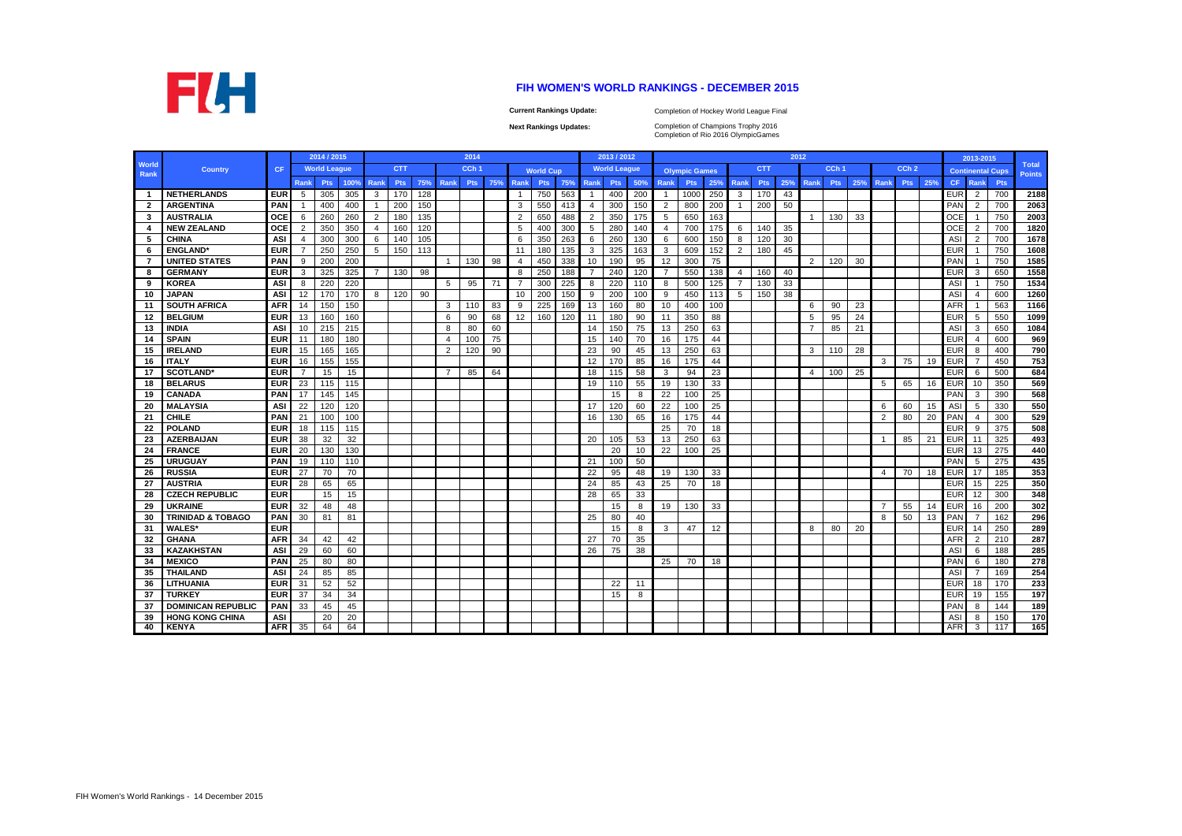

## **FIH WOMEN'S WORLD RANKINGS - DECEMBER 2015**

**Current Rankings Update:**

Completion of Hockey World League Final

**Next Rankings Updates:** 

Completion of Champions Trophy 2016 Completion of Rio 2016 OlympicGames

|               |                              |            |      | 2014 / 2015<br><b>World League</b> |      |                |            |     |                | 2014             |            |                |                  |     |                | 2013 / 2012         |     |                |                      |     |                |            | 2012 |                |                  |     |                |                  |     |            | 2013-2015               |     |                               |
|---------------|------------------------------|------------|------|------------------------------------|------|----------------|------------|-----|----------------|------------------|------------|----------------|------------------|-----|----------------|---------------------|-----|----------------|----------------------|-----|----------------|------------|------|----------------|------------------|-----|----------------|------------------|-----|------------|-------------------------|-----|-------------------------------|
| World<br>Rank | <b>Country</b>               | <b>CF</b>  |      |                                    |      |                | <b>CTT</b> |     |                | CCh <sub>1</sub> |            |                | <b>World Cup</b> |     |                | <b>World League</b> |     |                | <b>Olympic Games</b> |     |                | <b>CTT</b> |      |                | CCh <sub>1</sub> |     |                | CCh <sub>2</sub> |     |            | <b>Continental Cups</b> |     | <b>Total</b><br><b>Points</b> |
|               |                              |            | Rank | <b>Pts</b>                         | 100% | <b>Rank</b>    | <b>Pts</b> | 75% | Rank           | Pts              | <b>75%</b> | <b>Rank</b>    | <b>Pts</b>       | 75% | Rank           | Pts                 | 50% | Rank           | <b>Pts</b>           | 25% | <b>Rank</b>    | Pts        | 25%  | Rank           | <b>Pts</b>       | 25% | Rank           | <b>Pts</b>       | 25% | CF.        | Rank                    | Pts |                               |
| $\mathbf{1}$  | <b>NETHERLANDS</b>           | <b>EUR</b> | 5    | 305                                | 305  | 3              | 170        | 128 |                |                  |            | -1             | 750              | 563 |                | 400                 | 200 | $\overline{1}$ | 1000                 | 250 | 3              | 170        | 43   |                |                  |     |                |                  |     | EUR        | $\overline{2}$          | 700 | 2188                          |
| 2             | <b>ARGENTINA</b>             | PAN        |      | 400                                | 400  |                | 200        | 150 |                |                  |            | 3              | 550              | 413 | $\overline{4}$ | 300                 | 150 | 2              | 800                  | 200 | $\overline{1}$ | 200        | 50   |                |                  |     |                |                  |     | PAN        | $\overline{2}$          | 700 | 2063                          |
| 3             | <b>AUSTRALIA</b>             | OCE        | 6    | 260                                | 260  | 2              | 180        | 135 |                |                  |            | $\overline{2}$ | 650              | 488 | $\overline{2}$ | 350                 | 175 | 5              | 650                  | 163 |                |            |      | $\overline{1}$ | 130              | 33  |                |                  |     | <b>OCE</b> |                         | 750 | 2003                          |
| 4             | <b>NEW ZEALAND</b>           | <b>OCE</b> | 2    | 350                                | 350  | $\overline{4}$ | 160        | 120 |                |                  |            | 5              | 400              | 300 | 5              | 280                 | 140 | $\overline{4}$ | 700                  | 175 | 6              | 140        | 35   |                |                  |     |                |                  |     | <b>OCE</b> | 2                       | 700 | 1820                          |
| 5             | <b>CHINA</b>                 | <b>ASI</b> | 4    | 300                                | 300  | 6              | 140        | 105 |                |                  |            | 6              | 350              | 263 | 6              | 260                 | 130 | 6              | 600                  | 150 | 8              | 120        | 30   |                |                  |     |                |                  |     | ASI        | 2                       | 700 | 1678                          |
| 6             | <b>ENGLAND*</b>              | <b>EUR</b> |      | 250                                | 250  | 5              | 150        | 113 |                |                  |            | 11             | 180              | 135 | 3              | 325                 | 163 | 3              | 609                  | 152 | 2              | 180        | 45   |                |                  |     |                |                  |     | EUR        |                         | 750 | 1608                          |
| -7            | <b>UNITED STATES</b>         | <b>PAN</b> | 9    | 200                                | 200  |                |            |     | $\overline{1}$ | 130              | 98         | $\overline{4}$ | 450              | 338 | 10             | 190                 | 95  | 12             | 300                  | 75  |                |            |      | 2              | 120              | 30  |                |                  |     | <b>PAN</b> |                         | 750 | 1585                          |
| 8             | <b>GERMANY</b>               | <b>EUR</b> | 3    | 325                                | 325  | -7             | 130        | 98  |                |                  |            | 8              | 250              | 188 | 7              | 240                 | 120 | $\overline{7}$ | 550                  | 138 | $\overline{4}$ | 160        | 40   |                |                  |     |                |                  |     | EUR        | 3                       | 650 | 1558                          |
| 9             | <b>KOREA</b>                 | <b>ASI</b> | 8    | 220                                | 220  |                |            |     | 5              | 95               | 71         |                | 300              | 225 | 8              | 220                 | 110 | 8              | 500                  | 125 | $\overline{7}$ | 130        | 33   |                |                  |     |                |                  |     | ASI        |                         | 750 | 1534                          |
| 10            | <b>JAPAN</b>                 | ASI        | 12   | 170                                | 170  | 8              | 120        | 90  |                |                  |            | 10             | 200              | 150 | 9              | 200                 | 100 | 9              | 450                  | 113 | 5              | 150        | 38   |                |                  |     |                |                  |     | ASI        | 4                       | 600 | 1260                          |
| 11            | <b>SOUTH AFRICA</b>          | <b>AFR</b> | 14   | 150                                | 150  |                |            |     | 3              | 110              | 83         | 9              | 225              | 169 | 13             | 160                 | 80  | 10             | 400                  | 100 |                |            |      | 6              | 90               | 23  |                |                  |     | AFR        |                         | 563 | 1166                          |
| 12            | <b>BELGIUM</b>               | <b>EUR</b> | 13   | 160                                | 160  |                |            |     | 6              | 90               | 68         | 12             | 160              | 120 | 11             | 180                 | 90  | 11             | 350                  | 88  |                |            |      | 5              | 95               | 24  |                |                  |     | EUR        | 5                       | 550 | 1099                          |
| 13            | <b>INDIA</b>                 | ASI        | 10   | 215                                | 215  |                |            |     | 8              | 80               | 60         |                |                  |     | 14             | 150                 | 75  | 13             | 250                  | 63  |                |            |      |                | 85               | 21  |                |                  |     | ASI        | 3                       | 650 | 1084                          |
| 14            | <b>SPAIN</b>                 | <b>EUR</b> | 11   | 180                                | 180  |                |            |     | $\overline{4}$ | 100              | 75         |                |                  |     | 15             | 140                 | 70  | 16             | 175                  | 44  |                |            |      |                |                  |     |                |                  |     | EUR        | 4                       | 600 | 969                           |
| 15            | <b>IRELAND</b>               | <b>EUR</b> | 15   | 165                                | 165  |                |            |     | $\overline{2}$ | 120              | 90         |                |                  |     | 23             | 90                  | 45  | 13             | 250                  | 63  |                |            |      | 3              | 110              | 28  |                |                  |     | <b>EUR</b> | 8                       | 400 | 790                           |
| 16            | <b>ITALY</b>                 | <b>EUR</b> | 16   | 155                                | 155  |                |            |     |                |                  |            |                |                  |     | 12             | 170                 | 85  | 16             | 175                  | 44  |                |            |      |                |                  |     | 3              | 75               | 19  | <b>EUR</b> | $\overline{7}$          | 450 | 753                           |
| 17            | <b>SCOTLAND*</b>             | <b>EUR</b> |      | 15                                 | 15   |                |            |     | 7              | 85               | 64         |                |                  |     | 18             | 115                 | 58  | 3              | 94                   | 23  |                |            |      | $\overline{a}$ | 100              | 25  |                |                  |     | <b>EUR</b> | 6                       | 500 | 684                           |
| 18            | <b>BELARUS</b>               | <b>EUR</b> | 23   | 115                                | 115  |                |            |     |                |                  |            |                |                  |     | 19             | 110                 | 55  | 19             | 130                  | 33  |                |            |      |                |                  |     | 5              | 65               | 16  | <b>EUR</b> | 10                      | 350 | 569                           |
| 19            | <b>CANADA</b>                | PAN        | 17   | 145                                | 145  |                |            |     |                |                  |            |                |                  |     |                | 15                  | 8   | 22             | 100                  | 25  |                |            |      |                |                  |     |                |                  |     | PAN        | 3                       | 390 | 568                           |
| 20            | <b>MALAYSIA</b>              | ASI        | 22   | 120                                | 120  |                |            |     |                |                  |            |                |                  |     | 17             | 120                 | 60  | 22             | 100                  | 25  |                |            |      |                |                  |     | 6              | 60               | 15  | ASI        | 5                       | 330 | 550                           |
| -21           | <b>CHILE</b>                 | PAN        | 21   | 100                                | 100  |                |            |     |                |                  |            |                |                  |     | 16             | 130                 | 65  | 16             | 175                  | 44  |                |            |      |                |                  |     | $\overline{2}$ | 80               | 20  | <b>PAN</b> | 4                       | 300 | 529                           |
| 22            | <b>POLAND</b>                | <b>EUR</b> | 18   | 115                                | 115  |                |            |     |                |                  |            |                |                  |     |                |                     |     | 25             | 70                   | 18  |                |            |      |                |                  |     |                |                  |     | <b>EUR</b> | 9                       | 375 | 508                           |
| 23            | <b>AZERBAIJAN</b>            | <b>EUR</b> | 38   | 32                                 | 32   |                |            |     |                |                  |            |                |                  |     | 20             | 105                 | 53  | 13             | 250                  | 63  |                |            |      |                |                  |     | $\overline{1}$ | 85               | 21  | EUR        | 11                      | 325 | 493                           |
| 24            | <b>FRANCE</b>                | <b>EUR</b> | 20   | 130                                | 130  |                |            |     |                |                  |            |                |                  |     |                | 20                  | 10  | 22             | 100                  | 25  |                |            |      |                |                  |     |                |                  |     | <b>EUR</b> | 13                      | 275 | 440                           |
| 25            | <b>URUGUAY</b>               | PAN        | 19   | 110                                | 110  |                |            |     |                |                  |            |                |                  |     | 21             | 100                 | 50  |                |                      |     |                |            |      |                |                  |     |                |                  |     | PAN        | 5                       | 275 | 435                           |
| 26            | <b>RUSSIA</b>                | <b>EUR</b> | 27   | 70                                 | 70   |                |            |     |                |                  |            |                |                  |     | 22             | 95                  | 48  | 19             | 130                  | 33  |                |            |      |                |                  |     | $\overline{4}$ | 70               | 18  | EUR        | 17                      | 185 | 353                           |
| 27            | <b>AUSTRIA</b>               | <b>EUR</b> | 28   | 65                                 | 65   |                |            |     |                |                  |            |                |                  |     | 24             | 85                  | 43  | 25             | 70                   | 18  |                |            |      |                |                  |     |                |                  |     | EUR        | 15                      | 225 | 350                           |
| 28            | <b>CZECH REPUBLIC</b>        | <b>EUR</b> |      | 15                                 | 15   |                |            |     |                |                  |            |                |                  |     | 28             | 65                  | 33  |                |                      |     |                |            |      |                |                  |     |                |                  |     | <b>EUR</b> | $12 \overline{ }$       | 300 | 348                           |
| 29            | <b>UKRAINE</b>               | <b>EUR</b> | 32   | 48                                 | 48   |                |            |     |                |                  |            |                |                  |     |                | 15                  | 8   | 19             | 130                  | 33  |                |            |      |                |                  |     | $\overline{7}$ | 55               | 14  | <b>EUR</b> | 16                      | 200 | 302                           |
| 30            | <b>TRINIDAD &amp; TOBAGO</b> | PAN        | 30   | 81                                 | 81   |                |            |     |                |                  |            |                |                  |     | 25             | 80                  | 40  |                |                      |     |                |            |      |                |                  |     | 8              | 50               | 13  | PAN        | $\overline{7}$          | 162 | 296                           |
| 31            | <b>WALES*</b>                | <b>EUR</b> |      |                                    |      |                |            |     |                |                  |            |                |                  |     |                | 15                  | 8   | 3              | 47                   | 12  |                |            |      | 8              | 80               | 20  |                |                  |     | EUR        | 14                      | 250 | 289                           |
| 32            | <b>GHANA</b>                 | <b>AFR</b> | 34   | 42                                 | 42   |                |            |     |                |                  |            |                |                  |     | 27             | 70                  | 35  |                |                      |     |                |            |      |                |                  |     |                |                  |     | AFR        | 2                       | 210 | 287                           |
| 33            | <b>KAZAKHSTAN</b>            | <b>ASI</b> | 29   | 60                                 | 60   |                |            |     |                |                  |            |                |                  |     | 26             | 75                  | 38  |                |                      |     |                |            |      |                |                  |     |                |                  |     | ASI        | 6                       | 188 | 285                           |
| 34            | <b>MEXICO</b>                | PAN        | 25   | 80                                 | 80   |                |            |     |                |                  |            |                |                  |     |                |                     |     | 25             | 70                   | 18  |                |            |      |                |                  |     |                |                  |     | PAN        | 6                       | 180 | 278                           |
| -35           | <b>THAILAND</b>              | ASI        | 24   | 85                                 | 85   |                |            |     |                |                  |            |                |                  |     |                |                     |     |                |                      |     |                |            |      |                |                  |     |                |                  |     | ASI        | $\overline{7}$          | 169 | 254                           |
| 36            | <b>LITHUANIA</b>             | <b>EUR</b> | 31   | 52                                 | 52   |                |            |     |                |                  |            |                |                  |     |                | 22                  | 11  |                |                      |     |                |            |      |                |                  |     |                |                  |     | <b>EUR</b> | 18                      | 170 | 233                           |
| 37            | <b>TURKEY</b>                | <b>EUR</b> | 37   | 34                                 | 34   |                |            |     |                |                  |            |                |                  |     |                | 15                  | 8   |                |                      |     |                |            |      |                |                  |     |                |                  |     | <b>EUR</b> | 19                      | 155 | 197                           |
| 37            | <b>DOMINICAN REPUBLIC</b>    | PAN        | 33   | 45                                 | 45   |                |            |     |                |                  |            |                |                  |     |                |                     |     |                |                      |     |                |            |      |                |                  |     |                |                  |     | PAN        | 8                       | 144 | 189                           |
| 39            | <b>HONG KONG CHINA</b>       | <b>ASI</b> |      | 20                                 | 20   |                |            |     |                |                  |            |                |                  |     |                |                     |     |                |                      |     |                |            |      |                |                  |     |                |                  |     | ASI        | 8                       | 150 | 170                           |
| 40            | <b>KENYA</b>                 | <b>AFR</b> | 35   | 64                                 | 64   |                |            |     |                |                  |            |                |                  |     |                |                     |     |                |                      |     |                |            |      |                |                  |     |                |                  |     | <b>AFR</b> | 3                       | 117 | 165                           |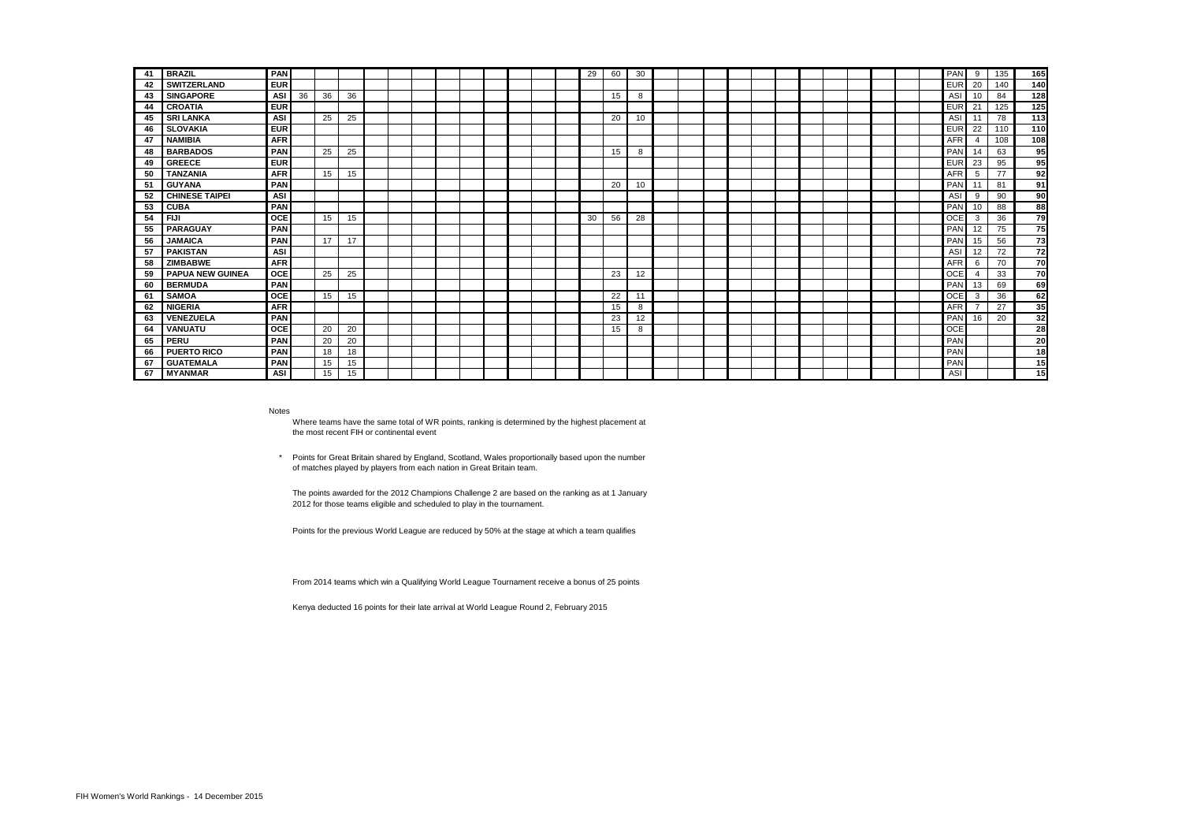| 41 | <b>BRAZIL</b>           | PAN        |    |    |    |  |  |  |  | 29 | 60 | 30 |  |  |  |  |  |  | PAN        | 9              | 135 | 165 |
|----|-------------------------|------------|----|----|----|--|--|--|--|----|----|----|--|--|--|--|--|--|------------|----------------|-----|-----|
| 42 | <b>SWITZERLAND</b>      | <b>EUR</b> |    |    |    |  |  |  |  |    |    |    |  |  |  |  |  |  | <b>EUR</b> | 20             | 140 | 140 |
| 43 | <b>SINGAPORE</b>        | <b>ASI</b> | 36 | 36 | 36 |  |  |  |  |    | 15 | 8  |  |  |  |  |  |  | ASI        | 10             | 84  | 128 |
| 44 | <b>CROATIA</b>          | <b>EUR</b> |    |    |    |  |  |  |  |    |    |    |  |  |  |  |  |  | <b>EUR</b> | 21             | 125 | 125 |
| 45 | <b>SRI LANKA</b>        | <b>ASI</b> |    | 25 | 25 |  |  |  |  |    | 20 | 10 |  |  |  |  |  |  | ASI        | 11             | 78  | 113 |
| 46 | <b>SLOVAKIA</b>         | <b>EUR</b> |    |    |    |  |  |  |  |    |    |    |  |  |  |  |  |  | <b>EUR</b> | 22             | 110 | 110 |
| 47 | <b>NAMIBIA</b>          | <b>AFR</b> |    |    |    |  |  |  |  |    |    |    |  |  |  |  |  |  | <b>AFR</b> | $\overline{4}$ | 108 | 108 |
| 48 | <b>BARBADOS</b>         | PAN        |    | 25 | 25 |  |  |  |  |    | 15 | 8  |  |  |  |  |  |  | <b>PAN</b> | 14             | 63  | 95  |
| 49 | <b>GREECE</b>           | <b>EUR</b> |    |    |    |  |  |  |  |    |    |    |  |  |  |  |  |  | <b>EUR</b> | 23             | 95  | 95  |
| 50 | <b>TANZANIA</b>         | <b>AFR</b> |    | 15 | 15 |  |  |  |  |    |    |    |  |  |  |  |  |  | <b>AFR</b> | 5              | 77  | 92  |
| 51 | <b>GUYANA</b>           | PAN        |    |    |    |  |  |  |  |    | 20 | 10 |  |  |  |  |  |  | PAN        | 11             | 81  | 91  |
| 52 | <b>CHINESE TAIPEI</b>   | <b>ASI</b> |    |    |    |  |  |  |  |    |    |    |  |  |  |  |  |  | ASI        | 9              | 90  | 90  |
| 53 | <b>CUBA</b>             | PAN        |    |    |    |  |  |  |  |    |    |    |  |  |  |  |  |  | PAN        | 10             | 88  | 88  |
| 54 | <b>FIJI</b>             | OCE        |    | 15 | 15 |  |  |  |  | 30 | 56 | 28 |  |  |  |  |  |  | <b>OCE</b> | 3              | 36  | 79  |
| 55 | <b>PARAGUAY</b>         | PAN        |    |    |    |  |  |  |  |    |    |    |  |  |  |  |  |  | PAN        | 12             | 75  | 75  |
| 56 | <b>JAMAICA</b>          | PAN        |    | 17 | 17 |  |  |  |  |    |    |    |  |  |  |  |  |  | PAN        | 15             | 56  | 73  |
| 57 | <b>PAKISTAN</b>         | <b>ASI</b> |    |    |    |  |  |  |  |    |    |    |  |  |  |  |  |  | ASI        | 12             | 72  | 72  |
| 58 | <b>ZIMBABWE</b>         | <b>AFR</b> |    |    |    |  |  |  |  |    |    |    |  |  |  |  |  |  | <b>AFR</b> | 6              | 70  | 70  |
| 59 | <b>PAPUA NEW GUINEA</b> | <b>OCE</b> |    | 25 | 25 |  |  |  |  |    | 23 | 12 |  |  |  |  |  |  | <b>OCE</b> |                | 33  | 70  |
| 60 | <b>BERMUDA</b>          | PAN        |    |    |    |  |  |  |  |    |    |    |  |  |  |  |  |  | PAN        | 13             | 69  | 69  |
| 61 | <b>SAMOA</b>            | OCE        |    | 15 | 15 |  |  |  |  |    | 22 | 11 |  |  |  |  |  |  | OCE        | 3              | 36  | 62  |
| 62 | <b>NIGERIA</b>          | <b>AFR</b> |    |    |    |  |  |  |  |    | 15 | 8  |  |  |  |  |  |  | <b>AFR</b> |                | 27  | 35  |
| 63 | VENEZUELA               | PAN        |    |    |    |  |  |  |  |    | 23 | 12 |  |  |  |  |  |  | PAN        | 16             | 20  | 32  |
| 64 | <b>VANUATU</b>          | <b>OCE</b> |    | 20 | 20 |  |  |  |  |    | 15 | 8  |  |  |  |  |  |  | <b>OCE</b> |                |     | 28  |
| 65 | PERU                    | PAN        |    | 20 | 20 |  |  |  |  |    |    |    |  |  |  |  |  |  | PAN        |                |     | 20  |
| 66 | <b>PUERTO RICO</b>      | PAN        |    | 18 | 18 |  |  |  |  |    |    |    |  |  |  |  |  |  | PAN        |                |     | 18  |
| 67 | <b>GUATEMALA</b>        | PAN        |    | 15 | 15 |  |  |  |  |    |    |    |  |  |  |  |  |  | PAN        |                |     | 15  |
| 67 | <b>MYANMAR</b>          | <b>ASI</b> |    | 15 | 15 |  |  |  |  |    |    |    |  |  |  |  |  |  | ASI        |                |     | 15  |

Notes

Where teams have the same total of WR points, ranking is determined by the highest placement at the most recent FIH or continental event

 \* Points for Great Britain shared by England, Scotland, Wales proportionally based upon the number of matches played by players from each nation in Great Britain team.

The points awarded for the 2012 Champions Challenge 2 are based on the ranking as at 1 January 2012 for those teams eligible and scheduled to play in the tournament.

Points for the previous World League are reduced by 50% at the stage at which a team qualifies

From 2014 teams which win a Qualifying World League Tournament receive a bonus of 25 points

Kenya deducted 16 points for their late arrival at World League Round 2, February 2015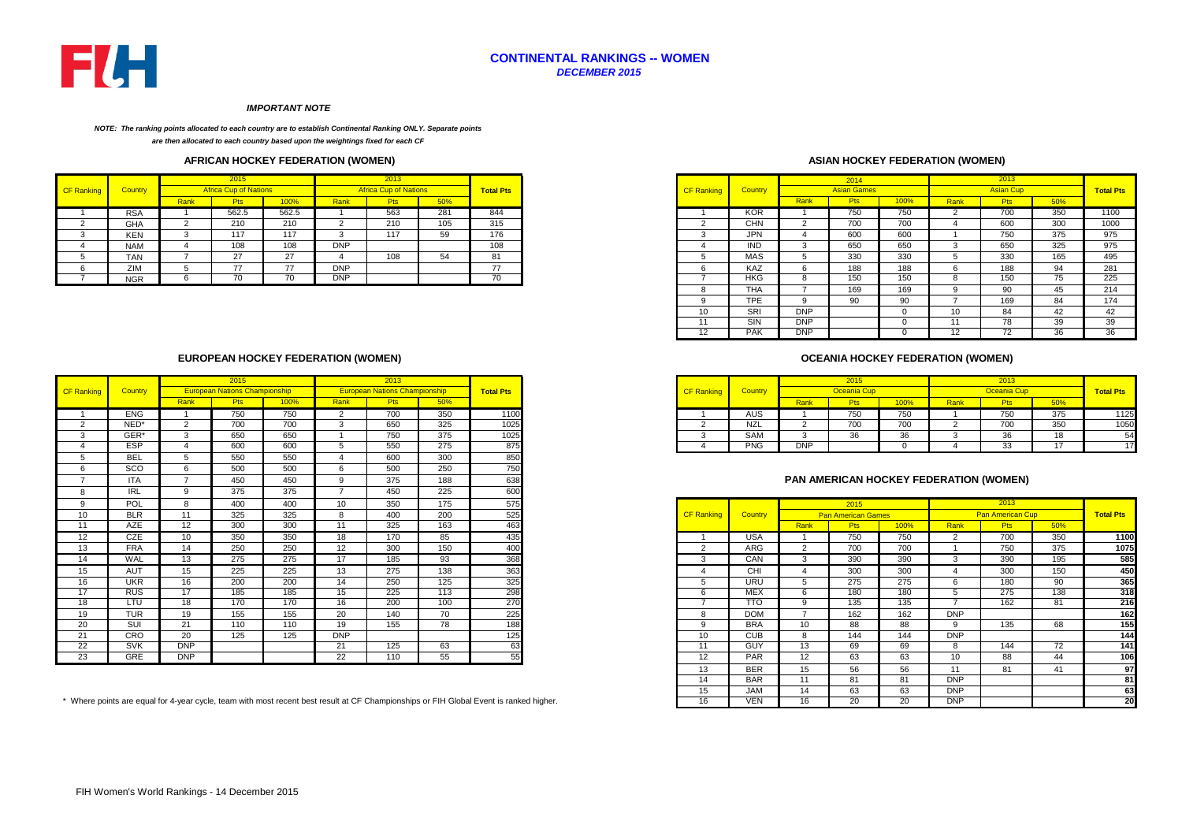

## **CONTINENTAL RANKINGS -- WOMEN** *DECEMBER 2015*

#### *IMPORTANT NOTE*

#### *NOTE: The ranking points allocated to each country are to establish Continental Ranking ONLY. Separate points*

*are then allocated to each country based upon the weightings fixed for each CF* 

## **AFRICAN HOCKEY FEDERATION (WOMEN)**

|            |                |      | 2015                         |       |            | 2013                         |     |                  |
|------------|----------------|------|------------------------------|-------|------------|------------------------------|-----|------------------|
| CF Ranking | <b>Country</b> |      | <b>Africa Cup of Nations</b> |       |            | <b>Africa Cup of Nations</b> |     | <b>Total Pts</b> |
|            |                | Rank | <b>Pts</b>                   | 100%  | Rank       | <b>Pts</b>                   | 50% |                  |
|            | <b>RSA</b>     |      | 562.5                        | 562.5 |            | 563                          | 281 | 844              |
|            | <b>GHA</b>     |      | 210                          | 210   |            | 210                          | 105 | 315              |
|            | <b>KEN</b>     |      | 117                          | 117   | 3          | 117                          | 59  | 176              |
|            | NAM            |      | 108                          | 108   | <b>DNP</b> |                              |     | 108              |
|            | <b>TAN</b>     |      | 27                           | 27    |            | 108                          | 54  | 81               |
|            | ZIM            |      | 77                           | 77    | <b>DNP</b> |                              |     | 77               |
|            | <b>NGR</b>     |      | 70                           | 70    | <b>DNP</b> |                              |     | 70               |

## **EUROPEAN HOCKEY FEDERATION (WOMEN)**

|                   |            |            | 2015                                 |      |                | 2013                                 |     |                  |
|-------------------|------------|------------|--------------------------------------|------|----------------|--------------------------------------|-----|------------------|
| <b>CF Ranking</b> | Country    |            | <b>European Nations Championship</b> |      |                | <b>European Nations Championship</b> |     | <b>Total Pts</b> |
|                   |            | Rank       | <b>Pts</b>                           | 100% | Rank           | <b>Pts</b>                           | 50% |                  |
|                   | <b>ENG</b> |            | 750                                  | 750  | 2              | 700                                  | 350 | 1100             |
| 2                 | NED*       | 2          | 700                                  | 700  | 3              | 650                                  | 325 | 1025             |
| 3                 | GER*       | 3          | 650                                  | 650  |                | 750                                  | 375 | 1025             |
|                   | <b>ESP</b> | Δ          | 600                                  | 600  | 5              | 550                                  | 275 | 875              |
|                   | <b>BEL</b> | 5          | 550                                  | 550  |                | 600                                  | 300 | 850              |
|                   | SCO        | 6          | 500                                  | 500  | 6              | 500                                  | 250 | 750              |
|                   | <b>ITA</b> |            | 450                                  | 450  | 9              | 375                                  | 188 | 638              |
|                   | <b>IRL</b> | 9          | 375                                  | 375  | $\overline{z}$ | 450                                  | 225 | 600              |
| Q                 | POL        | 8          | 400                                  | 400  | 10             | 350                                  | 175 | 575              |
| 10                | <b>BLR</b> | 11         | 325                                  | 325  | 8              | 400                                  | 200 | 525              |
| 11                | <b>AZE</b> | 12         | 300                                  | 300  | 11             | 325                                  | 163 | 463              |
| $12 \overline{ }$ | <b>CZE</b> | 10         | 350                                  | 350  | 18             | 170                                  | 85  | 435              |
| 13                | <b>FRA</b> | 14         | 250                                  | 250  | 12             | 300                                  | 150 | 400              |
| 14                | WAL        | 13         | 275                                  | 275  | 17             | 185                                  | 93  | 368              |
| 15                | <b>AUT</b> | 15         | 225                                  | 225  | 13             | 275                                  | 138 | 363              |
| 16                | <b>UKR</b> | 16         | 200                                  | 200  | 14             | 250                                  | 125 | 325              |
| 17                | <b>RUS</b> | 17         | 185                                  | 185  | 15             | 225                                  | 113 | 298              |
| 18                | LTU        | 18         | 170                                  | 170  | 16             | 200                                  | 100 | 270              |
| 19                | <b>TUR</b> | 19         | 155                                  | 155  | 20             | 140                                  | 70  | 225              |
| 20                | SUI        | 21         | 110                                  | 110  | 19             | 155                                  | 78  | 188              |
| 21                | CRO        | 20         | 125                                  | 125  | <b>DNP</b>     |                                      |     | 125              |
| 22                | <b>SVK</b> | <b>DNP</b> |                                      |      | 21             | 125                                  | 63  | 63               |
| 23                | <b>GRE</b> | <b>DNP</b> |                                      |      | 22             | 110                                  | 55  | 55               |

\* Where points are equal for 4-year cycle, team with most recent best result at CF Championships or FIH Global Event is ranked higher.

## **ASIAN HOCKEY FEDERATION (WOMEN)**

|            |          | 2015                         |       |            | 2013                         |     |                  |                   |            |            | 2014               |      |      | 2013             |                                        |                  |
|------------|----------|------------------------------|-------|------------|------------------------------|-----|------------------|-------------------|------------|------------|--------------------|------|------|------------------|----------------------------------------|------------------|
| Country    |          | <b>Africa Cup of Nations</b> |       |            | <b>Africa Cup of Nations</b> |     | <b>Total Pts</b> | <b>CF Ranking</b> | Country    |            | <b>Asian Games</b> |      |      | <b>Asian Cup</b> |                                        | <b>Total Pts</b> |
|            | Rank     | <b>Pts</b>                   | 100%  | Rank       | <b>Pts</b>                   | 50% |                  |                   |            | Rank       | <b>Pts</b>         | 100% | Rank | <b>Pts</b>       | 50%                                    |                  |
| <b>RSA</b> |          | 562.5                        | 562.5 |            | 563                          | 281 | 844              |                   | <b>KOR</b> |            | 750                | 750  |      | 700              | 350                                    |                  |
| <b>GHA</b> |          | 210                          | 210   |            | 210                          | 105 | 315              |                   | <b>CHN</b> |            | 700                | 700  |      | 600              | 300                                    |                  |
| <b>KEN</b> |          | 117                          | 117   |            | 117                          | 59  | 176              |                   | <b>JPN</b> |            | 600                | 600  |      | 750              | 375                                    |                  |
| <b>NAM</b> |          | 108                          | 108   | <b>DNP</b> |                              |     | 108              |                   | <b>IND</b> |            | 650                | 650  |      | 650              | 325                                    |                  |
| <b>TAN</b> | 27<br>27 |                              |       |            | 108                          | 54  | 81               |                   | MAS        |            | 330                | 330  |      | 330              | 165                                    |                  |
| ZIM        |          | 77                           | 77    | <b>DNP</b> |                              |     | 77               |                   | KAZ        |            | 188                | 188  |      | 188              | 94                                     |                  |
| <b>NGR</b> |          | 70<br>7 U                    | 70    | <b>DNP</b> |                              |     | 70               |                   | HKG        |            | 150                | 150  |      | 150              | $\overline{\phantom{a}}$<br>$\sqrt{5}$ |                  |
|            |          |                              |       |            |                              |     |                  |                   | <b>THA</b> |            | 169                | 169  |      | 90               | 45                                     |                  |
|            |          |                              |       |            |                              |     |                  |                   | <b>TPE</b> |            | 90                 | 90   |      | 169              | 84                                     |                  |
|            |          |                              |       |            |                              |     |                  | 10                | SRI        | <b>DNP</b> |                    | -0   | 10   | 84               | 42                                     |                  |
|            |          |                              |       |            |                              |     |                  |                   | SIN        | <b>DNP</b> |                    |      | 11   | 78               | 39                                     |                  |
|            |          |                              |       |            |                              |     |                  | 12                | <b>PAK</b> | <b>DNP</b> |                    |      | 12   | 72               | 36                                     |                  |

## **OCEANIA HOCKEY FEDERATION (WOMEN)**

|         |            |                                      |      |      |                                      |     |                  |                   |            |                    |                      |              |      | 2013     |                   |                  |
|---------|------------|--------------------------------------|------|------|--------------------------------------|-----|------------------|-------------------|------------|--------------------|----------------------|--------------|------|----------|-------------------|------------------|
| Country |            | <b>European Nations Championship</b> |      |      | <b>European Nations Championship</b> |     | <b>Total Pts</b> | <b>CF Ranking</b> | Country    |                    | Oceania Cuj          |              |      |          |                   | <b>Total Pts</b> |
|         |            |                                      | 100% | Rank | w                                    | 50% |                  |                   |            | <b><u>xank</u></b> |                      | 100%         | Rank |          |                   |                  |
|         | <b>ENG</b> | 750                                  | 750  |      | 700                                  | 350 | 1100             |                   | AUS        |                    | 750<br>7 JU          | 750          |      | 750      | 375               |                  |
|         | NED*       | 700<br>טט ו                          | 700  |      | 650                                  | 325 | 1025             |                   | NZL        |                    | $\sim$ $\sim$<br>100 | 700          |      | 700      | 350<br>ບບບ        |                  |
|         | GER*       | 650                                  | 650  |      | 750                                  | 375 | 1025             |                   | SAM        |                    | 26                   | $\sim$<br>ახ |      |          | $\sqrt{2}$<br>10. |                  |
|         | <b>ESP</b> | 600                                  | 600  |      | 550                                  | 275 | 875              |                   | <b>PNG</b> | DNP                |                      |              |      | ົ<br>ن ب |                   |                  |

#### **PAN AMERICAN HOCKEY FEDERATION (WOMEN)**

|                | POL        |            | 400                                                                                                                                 | 400 | 10         | 350 | 175 | 575 |                   |                         |                 | 2015                      |      |            | 2013                    |     |                  |
|----------------|------------|------------|-------------------------------------------------------------------------------------------------------------------------------------|-----|------------|-----|-----|-----|-------------------|-------------------------|-----------------|---------------------------|------|------------|-------------------------|-----|------------------|
| 10             | <b>BLR</b> | 11         | 325                                                                                                                                 | 325 | 8          | 400 | 200 | 525 | <b>CF Ranking</b> | Country                 |                 | <b>Pan American Games</b> |      |            | <b>Pan American Cup</b> |     | <b>Total Pts</b> |
| $\overline{A}$ | <b>AZE</b> | 12         | 300                                                                                                                                 | 300 | 11         | 325 | 163 | 463 |                   |                         | <b>Rank</b>     | <b>Pts</b>                | 100% | Rank       | <b>Pts</b>              | 50% |                  |
| 12             | CZE        | 10         | 350                                                                                                                                 | 350 | 18         | 170 | 85  | 435 |                   | <b>USA</b>              |                 | 750                       | 750  |            | 700                     | 350 | 1100             |
| 13             | <b>FRA</b> | 14         | 250                                                                                                                                 | 250 | 12         | 300 | 150 | 400 |                   | ARG                     |                 | 700                       | 700  |            | 750                     | 375 | 1075             |
| 14             | WAL        | 13         | 275                                                                                                                                 | 275 | 17         | 185 | 93  | 368 |                   | CAN                     |                 | 390                       | 390  |            | 390                     | 195 | 585              |
| 15             | AUT        | 15         | 225                                                                                                                                 | 225 | 13         | 275 | 138 | 363 |                   | CHI                     |                 | 300                       | 300  |            | 300                     | 150 | 450              |
| 16             | <b>UKR</b> | 16         | 200                                                                                                                                 | 200 | 14         | 250 | 125 | 325 |                   | <b>URU</b>              |                 | 275                       | 275  | 6          | 180                     | 90  | 365              |
| 17             | <b>RUS</b> | 17         | 185                                                                                                                                 | 185 | 15         | 225 | 113 | 298 | h                 | <b>MEX</b>              | 6               | 180                       | 180  |            | 275                     | 138 | 318              |
| 18             | LTU        | 18         | 170                                                                                                                                 | 170 | 16         | 200 | 100 | 270 |                   | $\overline{\text{tto}}$ |                 | 135                       | 135  |            | 162                     | 81  | 216              |
| 19             | <b>TUR</b> | 19         | 155                                                                                                                                 | 155 | 20         | 140 | 70  | 225 | 8                 | <b>DOM</b>              |                 | 162                       | 162  | <b>DNP</b> |                         |     | 162              |
| 20             | SUI        | 21         | 110                                                                                                                                 | 110 | 19         | 155 | 78  | 188 | Q                 | <b>BRA</b>              | 10 <sup>°</sup> | 88                        | 88   |            | 135                     | 68  | 155              |
|                | CRO        | 20         | 125                                                                                                                                 | 125 | <b>DNP</b> |     |     | 125 | 10                | <b>CUB</b>              | 8               | 144                       | 144  | <b>DNP</b> |                         |     | 144              |
| 22             | SVK        | <b>DNP</b> |                                                                                                                                     |     | 21         | 125 | 63  | 63  | 11                | <b>GUY</b>              | 13              | 69                        | 69   | 8          | 144                     | 72  | 141              |
| 23             | GRE        | <b>DNP</b> |                                                                                                                                     |     | 22         | 110 | 55  | 55  | 12                | <b>PAR</b>              | 12              | 63                        | 63   | 10         | 88                      | 44  | 106              |
|                |            |            |                                                                                                                                     |     |            |     |     |     | 13                | <b>BER</b>              | 15              | 56                        | 56   |            | 81                      | 41  | 97               |
|                |            |            |                                                                                                                                     |     |            |     |     |     | 14                | <b>BAR</b>              | 11              | 81                        | 81   | <b>DNP</b> |                         |     | 81               |
|                |            |            |                                                                                                                                     |     |            |     |     |     | 15                | <b>JAM</b>              | 14              | 63                        | 63   | <b>DNP</b> |                         |     | 63               |
|                |            |            | here points are equal for 4-year cycle, team with most recent best result at CF Championships or FIH Global Event is ranked higher. |     |            |     |     |     | 16                | <b>VEN</b>              | 16              | 20                        | 20   | <b>DNP</b> |                         |     | 20               |